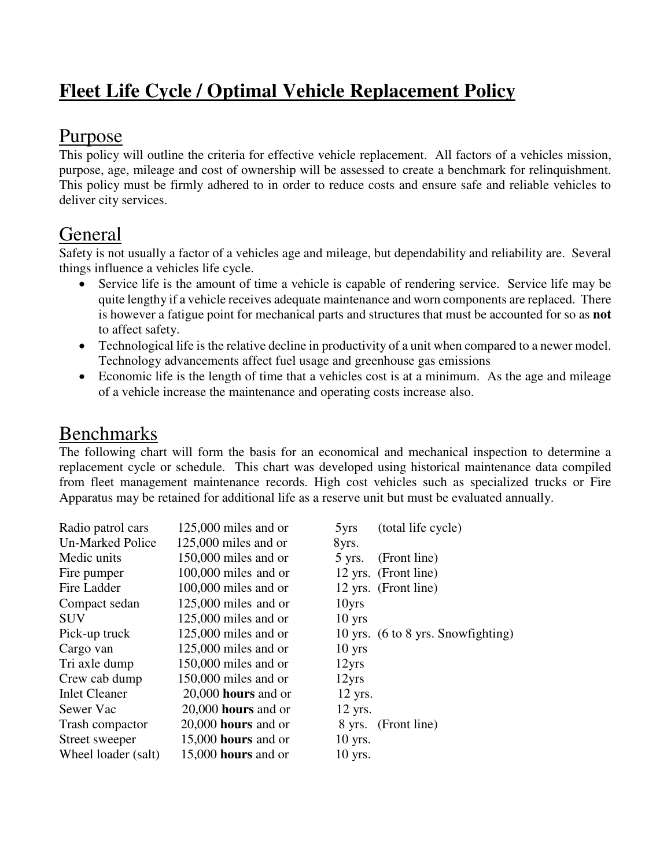# **Fleet Life Cycle / Optimal Vehicle Replacement Policy**

## Purpose

This policy will outline the criteria for effective vehicle replacement. All factors of a vehicles mission, purpose, age, mileage and cost of ownership will be assessed to create a benchmark for relinquishment. This policy must be firmly adhered to in order to reduce costs and ensure safe and reliable vehicles to deliver city services.

## General

Safety is not usually a factor of a vehicles age and mileage, but dependability and reliability are. Several things influence a vehicles life cycle.

- Service life is the amount of time a vehicle is capable of rendering service. Service life may be quite lengthy if a vehicle receives adequate maintenance and worn components are replaced. There is however a fatigue point for mechanical parts and structures that must be accounted for so as **not** to affect safety.
- Technological life is the relative decline in productivity of a unit when compared to a newer model. Technology advancements affect fuel usage and greenhouse gas emissions
- Economic life is the length of time that a vehicles cost is at a minimum. As the age and mileage of a vehicle increase the maintenance and operating costs increase also.

### Benchmarks

The following chart will form the basis for an economical and mechanical inspection to determine a replacement cycle or schedule. This chart was developed using historical maintenance data compiled from fleet management maintenance records. High cost vehicles such as specialized trucks or Fire Apparatus may be retained for additional life as a reserve unit but must be evaluated annually.

| Radio patrol cars    | $125,000$ miles and or | 5 <sub>yrs</sub> | (total life cycle)                 |
|----------------------|------------------------|------------------|------------------------------------|
| Un-Marked Police     | $125,000$ miles and or | 8yrs.            |                                    |
| Medic units          | 150,000 miles and or   | $5$ yrs.         | (Front line)                       |
| Fire pumper          | $100,000$ miles and or |                  | 12 yrs. (Front line)               |
| Fire Ladder          | $100,000$ miles and or |                  | 12 yrs. (Front line)               |
| Compact sedan        | $125,000$ miles and or | 10yrs            |                                    |
| <b>SUV</b>           | $125,000$ miles and or | $10$ yrs         |                                    |
| Pick-up truck        | $125,000$ miles and or |                  | 10 yrs. (6 to 8 yrs. Snowfighting) |
| Cargo van            | $125,000$ miles and or | $10$ yrs         |                                    |
| Tri axle dump        | 150,000 miles and or   | 12yrs            |                                    |
| Crew cab dump        | 150,000 miles and or   | 12yrs            |                                    |
| <b>Inlet Cleaner</b> | $20,000$ hours and or  | $12$ yrs.        |                                    |
| Sewer Vac            | $20,000$ hours and or  | $12$ yrs.        |                                    |
| Trash compactor      | $20,000$ hours and or  |                  | 8 yrs. (Front line)                |
| Street sweeper       | $15,000$ hours and or  | $10$ yrs.        |                                    |
| Wheel loader (salt)  | 15,000 hours and or    | $10$ yrs.        |                                    |